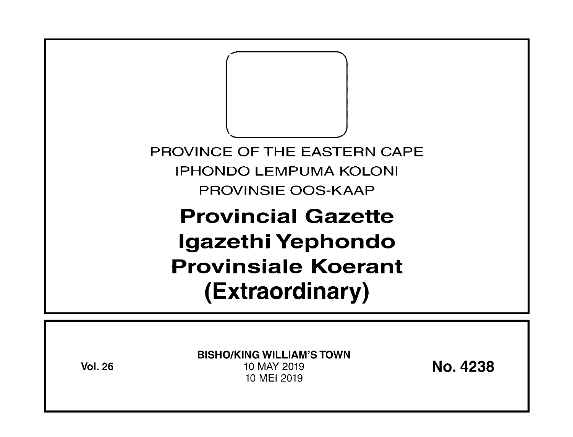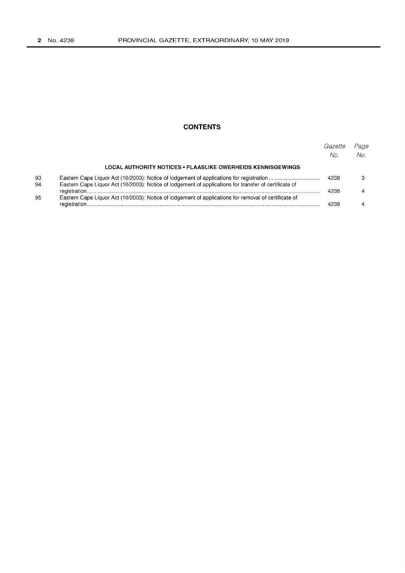# **CONTENTS**

|          |                                                                                                       | Gazette<br>No. | Page<br>No. |
|----------|-------------------------------------------------------------------------------------------------------|----------------|-------------|
|          | LOCAL AUTHORITY NOTICES • PLAASLIKE OWERHEIDS KENNISGEWINGS                                           |                |             |
| 93<br>94 | Eastern Cape Liquor Act (10/2003): Notice of lodgement of applications for transfer of certificate of | 4238           |             |
|          |                                                                                                       | 4238           |             |
| 95       | Eastern Cape Liquor Act (10/2003): Notice of lodgement of applications for removal of certificate of  | 4238           |             |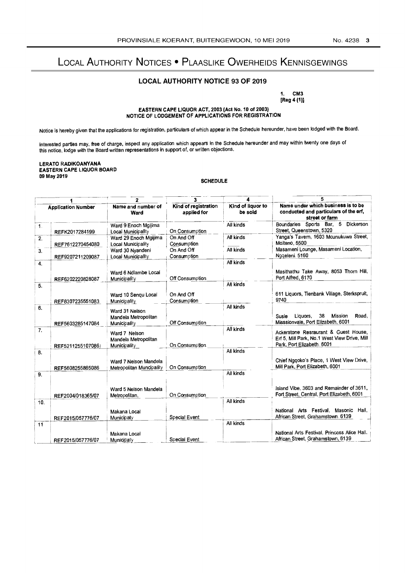# LOCAL AUTHORITY NOTICES . PLAASLIKE OWERHEIDS KENNISGEWINGS

# **LOCAL AUTHORITY NOTICE 93 OF 2019**

1. CM3

[Reg 4 (1)]

## EASTERN CAPE LIQUOR ACT, 2003 (Act No. 10 of 2003) NOTICE OF LODGEMENT OF APPLICATIONS FOR REGISTRATION

Notice is hereby given that the applications for registration, particulars of which appear in the Schedule hereunder, have been lodged with the Board.

Interested parties may, free of charge, inspect any application which appears in the Schedule hereunder and may within twenty one days of<br>this notice, lodge with the Board written representations in support of, or written

### LERATO RADIKOANYANA EASTERN CAPE LIQUOR BOARD 09 May 2019

# **SCHEDULE**

|                           |                   | 2                                                      | 3                                   |                              |                                                                                                                    |
|---------------------------|-------------------|--------------------------------------------------------|-------------------------------------|------------------------------|--------------------------------------------------------------------------------------------------------------------|
| <b>Application Number</b> |                   | Name and number of<br>Ward                             | Kind of registration<br>applied for | Kind of liquor to<br>be sold | Name under which business is to be<br>conducted and particulars of the erf,<br>street or farm                      |
| 1.                        | REFK2017284199    | Ward 9 Enoch Mgijima<br>Local Municipality             | On Consumption                      | Ail kinds                    | Boundaries Sports Bar, 5<br>Dickerson<br>Street, Queenstown, 5320                                                  |
| 2.                        | REF7612270454080  | Ward 29 Enoch Mgijima<br><b>Local Municipality</b>     | On And Off<br>Consumption           | All kinds                    | Yanga's Tavern, 1603 Mcunukuwa Street,<br>Molteno. 5500                                                            |
| 3.                        | REF9207211209087  | Ward 30 Nvandeni<br>Local Municipality                 | On And Off<br>Consumption           | All kinds                    | Masameni Lounge, Masameni Location,<br>Ngqeleni. 5160                                                              |
| 4.                        |                   |                                                        |                                     | All kinds                    |                                                                                                                    |
|                           | REF6202220828087  | Ward 6 Ndlambe Local<br>Municipality                   | Off Consumption                     |                              | Masithathu Take Away, 8053 Thorn Hill,<br>Port Alfred, 6170                                                        |
| 5.                        |                   |                                                        |                                     | All kinds                    |                                                                                                                    |
|                           | REF8307235551083  | Ward 10 Sengu Local<br>Municipality                    | On And Off<br>Consumption           |                              | 611 Liquors, Tienbank Village, Sterkspruit,<br>9740                                                                |
| 6.                        | REF5603285147084  | Ward 31 Nelson<br>Mandeia Metropolitan<br>Municipality | Off Consumption                     | All kinds                    | Mission<br>Liquors.<br>38<br>Road,<br>Susie<br>Misssionvale, Port Elizabeth, 6001                                  |
| 7.                        | REF5211255107086) | Ward 7 Nelson<br>Mandela Metropolitan<br>Municipality  | On Consumption                      | All kinds                    | Ackerstone Resraurant & Guest House,<br>Erf 5, Mill Park, No.1 West View Drive, Mill<br>Park, Port Elizabeth. 6001 |
| 8.                        | REF5608255865086  | Ward 7 Neison Mandela<br>Metropolitan Muncipality      | On Consumption                      | All kinds                    | Chief Nggoko's Place, 1 West View Drive,<br>Mill Park, Port Elizabeth, 6001                                        |
| 9.                        |                   |                                                        |                                     | All kinds                    |                                                                                                                    |
|                           | REF2004/018365/07 | Ward 5 Nelson Mandela<br>Metropolitan,                 | On Consumption                      |                              | Island Vibe, 3603 and Remainder of 3611,<br>Fort Street, Central, Port Elizabeth, 6001                             |
| 10.                       |                   |                                                        |                                     | Ail kinds                    |                                                                                                                    |
|                           | REF2015/057776/07 | Makana Local<br>Municipaty                             | Special Event                       |                              | National Arts Festival, Masonic<br>Hail.<br>African Street, Grahamstown. 6139                                      |
| 11                        |                   |                                                        |                                     | All kinds                    |                                                                                                                    |
|                           | REF2015/057776/07 | Makana Local<br>Municipaty                             | Special Event                       |                              | National Arts Festival, Princess Alice Hall.<br>African Street, Grahamstown, 6139                                  |